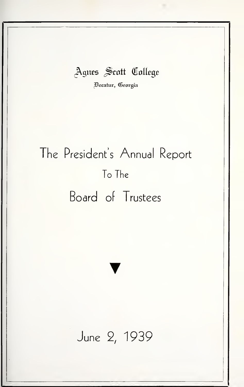### Agnes Scott College

jBezatuv, (Georgia

# The President's Annual Report To The Board of Trustees

## June 2, 1939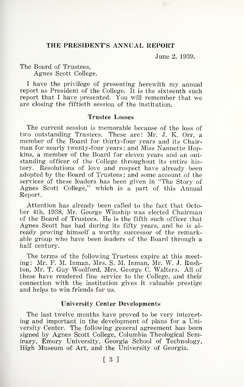#### THE PRESIDENT'S ANNUAL REPORT

June 2, 1939.

The Board of Trustees, Agnes Scott College.

<sup>I</sup> have the privilege of presenting herewith my annual report as President of the College. It is the sixteenth such report that <sup>I</sup> have presented. You will remember that we are closing the fiftieth session of the institution.

#### Trustee Losses

The current session is memorable because of the loss of two outstanding Trustees. These are: Mr. J. K. Orr, a member of the Board for thirty-four years and its Chair-<br>man for nearly twenty-four years; and Miss Nannette Hopkins, a member of the Board for eleven years and an out standing officer of the College throughout its entire his tory. Resolutions of love and respect have already been adopted by the Board of Trustees ; and some account of the services of these leaders has been given in "The Story of Agnes Scott College," which is a part of this Annual Report.

Attention has already been called to the fact that Octo ber 4th, 1938, Mr. George Winship was elected Chairman of the Board of Trustees. He isthe fifth such officer that Agnes Scott has had during its fifty years, and he is al ready proving himself a worthy successor of the remarkable group who have been leaders of the Board through a half century.

The terms of the following Trustees expire at this meeting: Mr. F. M. Inman, Mrs. S. M. Inman, Mr. W. J. Rushton, Mr. T. Guy Woolford, Mrs. George C. Walters. All of these have rendered fine service to the College, and their connection with the institution gives it valuable prestige and helps to win friends for us.

#### University Center Developments

The last twelve months have proved to be very interest ing and important in the development of plans for a University Center. The following general agreement has been signed by Agnes Scott College, Columbia Theological Seminary, Emory University, Georgia School of Technology, High Museum of Art, and the University of Georgia.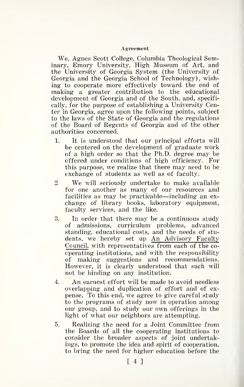#### Agreement

We, Agnes Scott College, Columbia Theological Seminary, Emory University, High Museum of Art, and the University of Georgia System (the University of Georgia and the Georgia School of Technology), wishing to cooperate more effectively toward the end of making a greater contribution to the educational development of Georgia and of the South, and, specifically, for the purpose of establishing a University Center in Georgia, agree upon the following points, subject to the laws of the State of Georgia and the regulations of the Board of Regents of Georgia and of the other authorities concerned.

- 1. It is understood that our principal efforts will be centered on the development of graduate work of a high order so that the Ph.D. degree may be offered under conditions of high efficiency. For this purpose, we realize that there may need to be exchange of students as well as of faculty.
- <sup>2</sup> We will seriously undertake to make available for one another as many of our resources and facilities as may be practicable—including an ex- change of library books, laboratory equipment, faculty services, and the like.
- 3. In order that there may be a continuous study of admissions, curriculum problems, advanced admissions, curriculum problems, advanced standing, educational costs, and the needs of stu dents, we hereby set up An Advisory Faculty Council, with representatives from each of the co operating institutions, and with the responsibility of making suggestions and recommendations. However, it is clearly understood that such will not be binding on any institution.
- 4. An earnest effort will be made to avoid needless overlapping and duplication of effort and of ex pense. To this end, we agree to give careful study to the programs of study now in operation among our group, and to study our own offerings in the light of what our neighbors are attempting.
- 5. Realizing the need for a Joint Committee from the Boards of all the cooperating institutions to consider the broader aspects of joint undertakings, to promote the idea and spirit of cooperation, to bring the need for higher education before the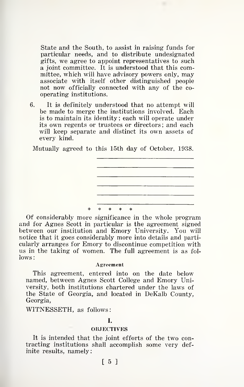State and the South, to assist in raising funds for particular needs, and to distribute undesignated gifts, we agree to appoint representatives to such a joint committee. It is understood that this committee, which will have advisory powers only, may associate with itself other distinguished people not now officially connected with any of the co operating institutions.

3. It is definitely understood that no attempt will be made to merge the institutions involved. Each is to maintain its identity ; each will operate under its own regents or trustees or directors ; and each will keep separate and distinct its own assets of every kind.

Mutually agreed to this 15th day of October, 1938.



Of considerably more significance in the whole program and for Agnes Scott in particular is the agreement signed between our institution and Emory University. You will notice that it goes considerably more into details and particularly arranges for Emory to discontinue competition with us in the taking of women. The full agreement is as fol lows:

#### Agreement

This agreement, entered into on the date below named, between Agnes Scott College and Emory University, both institutions chartered under the laws of the State of Georgia, and located in DeKalb County, Georgia,

WITNESSETH, as follows:

#### I.

#### **OBJECTIVES**

It is intended that the joint efforts of the two con tracting institutions shall accomplish some very definite results, namely

#### [ 5 ]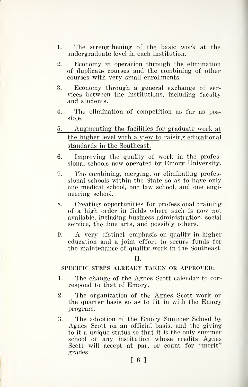- 1. The strengthening of the basic work at the undergraduate level in each institution.
- 2. Economy in operation through the elimination of duplicate courses and the combining of other courses with very small enrollments.
- 3. Economy through a general exchange of ser vices between the institutions, including faculty and students.
- 4. The elimination of competition as far as possible.
- 5. Augmenting the facilities for graduate work at the higher level with a view to raising educational standards in the Southeast.
- 6. Improving the quality of work in the professional schools now operated by Emory University.
- 7. The combining, merging, or eliminating professional schools within the State so as to have only one medical school, one law school, and one engineering school.
- 8. Creating opportunities for professional training of a high order in fields where such is now not available, including business administration, social service, the fine arts, and possibly others.
- 9. A very distinct emphasis on quality in higher education and a joint effort to secure funds for the maintenance of quality work in the Southeast.

II.

#### SPECIFIC STEPS ALREADY TAKEN OR APPROVED:

- 1. The change of the Agnes Scott calendar to cor respond to that of Emory.
- 2. The organization of the Agnes Scott work on the quarter basis so as to fit in with the Emory program.
- 3. The adoption of the Emory Summer School by Agnes Scott on an official basis, and the giving to it a unique status so that it is the only summer school of any institution whose credits Agnes Scott will accept at par, or count for "merit" grades.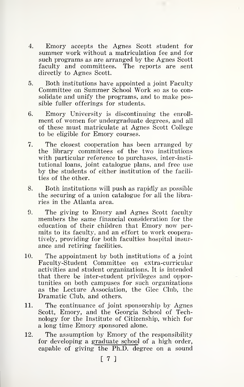- 4. Emory accepts the Agnes Scott student for summer work without <sup>a</sup> matriculation fee and for such programs as are arranged by the Agnes Scott faculty and committees. The reports are sent directly to Agnes Scott.
- 5. Both institutions have appointed a joint Faculty Committee on Summer School Work so as to consolidate and unify the programs, and to make possible fuller offerings for students.
- 6. Emory University is discontinuing the enroll ment of women for undergraduate degrees, and all of these must matriculate at Agnes Scott College to be eligible for Emory courses.
- 7. The closest cooperation has been arranged by the library committees of the two institutions with particular reference to purchases, inter-insti tutional loans, joint catalogue plans, and free use by the students of either institution of the facili ties of the other.
- 8. Both institutions will push as rapidly as possible the securing of a union catalogue for all the libra ries in the Atlanta area.
- 9. The giving to Emory and Agnes Scott faculty members the same financial consideration for the education of their children that Emory now per mits to its faculty, and an effort to work cooperatively, providing for both faculties hospital insur ance and retiring facilities.
- 10. The appointment by both institutions of a joint Faculty-Student Committee on extra-curricular activities and student organizations. It is intended that there be inter-student privileges and opportunities on both campuses for such organizations as the Lecture Association, the Glee Club, the Dramatic Club, and others.
- 11. The continuance of joint sponsorship by Agnes Scott, Emory, and the Georgia School of Technology for the Institute of Citizenship, which for a long time Emory sponsored alone.
- 12. The assumption by Emory of the responsibility for developing a graduate school of a high order, capable of giving the Ph.D. degree on a sound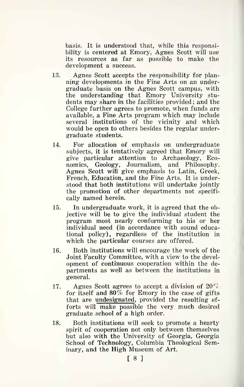basis. It is understood that, while this responsibility is centered at Emory, Agnes Scott will use its resources as far as possible to make the development a success.

- 13. Agnes Scott accepts the responsibility for planning developments in the Fine Arts on an undergraduate basis on the Agnes Scott campus, with the understanding that Emory University stu dents may share in the facilities provided ; and the College further agrees to promote, when funds are available, a Fine Arts program which may include several institutions of the vicinity and which would be open to others besides the regular undergraduate students.
- 14. For allocation of emphasis on undergraduate subjects, it is tentatively agreed that Emory will give particular attention to Archaeology, Economics, Geology, Journalism, and Philosophy. Agnes Scott will give emphasis to Latin, Greek, French, Education, and the Fine Arts. It is understood that both institutions will undertake jointly the promotion of other departments not specifically named herein.
- 15. In undergraduate work, it is agreed that the objective will be to give the individual student the program most nearly conforming to his or her individual need (in accordance with sound educational policy), regardless of the institution in which the particular courses are offered.
- 16. Both institutions will encourage the work of the Joint Faculty Committee, with a view to the devel opment of continuous cooperation within the de partments as well as between the institutions in general.
- 17. Agnes Scott agrees to accept a division of  $20\%$ for itself and  $80\%$  for Emory in the case of gifts that are undesignated, provided the resulting ef forts will make possible the very much desired graduate school of a high order.
- 18. Both institutions will seek to promote a hearty spirit of cooperation not only between themselves but also with the University of Georgia, Georgia School of Technology, Columbia Theological Seminary, and the High Museum of Art.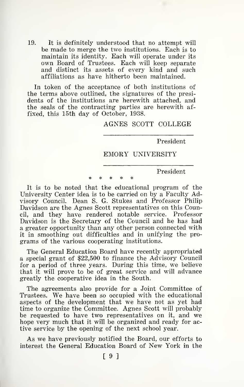19. It is definitely understood that no attempt will be made to merge the two institutions. Each is to maintain its identity. Each will operate under its own Board of Trustees. Each will keep separate and distinct its assets of every kind and such affiliations as have hitherto been maintained.

In token of the acceptance of both institutions of the terms above outlined, the signatures of the presidents of the institutions are herewith attached, and the seals of the contracting parties are herewith af fixed, this 15th day of October, 1938.

AGNES SCOTT COLLEGE

President

#### EMORY UNIVERSITY

President

It is to be noted that the educational program of the University Center idea is to be carried on by a Faculty Advisory Council. Dean S. G. Stukes and Professor Philip Davidson are the Agnes Scott representatives on this Council, and they have rendered notable service. Professor Davidson is the Secretary of the Council and he has had a greater opportunity than any other person connected with it in smoothing out difficulties and in unifying the pro grams of the various cooperating institutions.

The General Education Board have recently appropriated a special grant of \$22,500 to finance the Advisory Council for a period of three years. During this time, we believe that it will prove to be of great service and will advance greatly the cooperative idea in the South.

The agreements also provide for a Joint Committee of Trustees. We have been so occupied with the educational aspects of the development that we have not as yet had time to organize the Committee. Agnes Scott will probably be requested to have two representatives on it, and we hope very much that it will be organized and ready for active service by the opening of the next school year.

As we have previously notified the Board, our efforts to interest the General Education Board of New York in the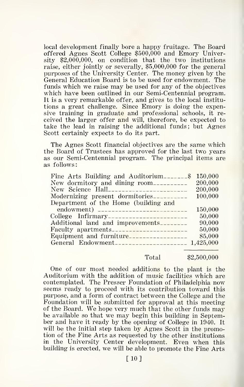local development finally bore a happy fruitage. The Board offered Agnes Scott College \$500,000 and Emory University \$2,000,000, on condition that the two institutions raise, either jointly or severally, \$5,000,000 for the general purposes of the University Center. The money given by the General Education Board is to be used for endowment. The funds which we raise may be used for any of the objectives which have been outlined in our Semi-Centennial program. It is a very remarkable offer, and gives to the local institu tions a great challenge. Since Emory is doing the expensive training in graduate and professional schools, it re ceived the larger offer and will, therefore, be expected to take the lead in raising the additional funds; but Agnes Scott certainly expects to do its part.

The Agnes Scott financial objectives are the same which the Board of Trustees has approved for the last two years as our Semi-Centennial program. The principal items are as follows:

| Fine Arts Building and Auditorium                        | 150.000 |
|----------------------------------------------------------|---------|
|                                                          | 200,000 |
|                                                          | 200.000 |
| Modernizing present dormitories                          | 100.000 |
| Department of the Home (building and                     |         |
|                                                          | 150,000 |
| College Infirmary                                        | 50,000  |
| Additional land and improvements                         | 90,000  |
| Faculty apartments-----------------------                | 50,000  |
| Equipment and furniture-----------------                 | 85,000  |
| General Endowment_____________________________ 1,425,000 |         |
|                                                          |         |

#### Total \$2,500,000

One of our most needed additions to the plant is the Auditorium with the addition of music facilities which are contemplated. The Presser Foundation of Philadelphia now seems ready to proceed with its contribution toward this purpose, and a form of contract between the College and the Foundation will be submitted for approval at this meeting of the Board. We hope very much that the other funds may be available so that we may begin this building in September and have it ready by the opening of College in 1940. It will be the initial step taken by Agnes Scott in the promotion of the Fine Arts as requested by the other institutions in the University Center development. Even when this building is erected, we will be able to promote the Fine Arts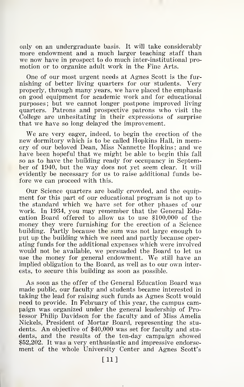only on an undergraduate basis. It will take considerably more endowment and a much larger teaching staff than we now have in prospect to do much inter-institutional pro motion or to organize adult work in the Fine Arts.

One of our most urgent needs at Agnes Scott is the fur nishing of better living quarters for our students. Very properly, through many years, we have placed the emphasis on good equipment for academic work and for educational purposes; but we cannot longer postpone improved living quarters. Patrons and prospective patrons who visit the College are unhesitating in their expressions of surprise that we have so long delayed the improvement.

We are very eager, indeed, to begin the erection of the new dormitory which is to be called Hopkins Hall, in memory of our beloved Dean, Miss Nannette Hopkins ; and we have been hopeful that we might be able to begin this fall so as to have the building ready for occupancy in September of 1940, but the way does not yet seem clear. It will evidently be necessary for us to raise additional funds be fore we can proceed with this.

Our Science quarters are badly crowded, and the equipment for this part of our educational program is not up to the standard which we have set for other phases of our work. In 1934, you may remember that the General Education Board offered to allow us to use \$100,000 of the money they were furnishing for the erection of a Science building. Partly because the sum was not large enough to put up the building which we need and partly because operating funds for the additional expenses which were involved would not be available, we persuaded the Board to let us use the money for general endowment. We still have an implied obligation to the Board, as well as to our own interests, to secure this building as soon as possible.

As soon as the offer of the General Education Board was made public, our faculty and students became interested in taking the lead for raising such funds as Agnes Scott would need to provide. In February of this year, the campus campaign was organized under the general leadership of Professor Philip Davidson for the faculty and of Miss Amelia Nickels, President of Mortar Board, representing the stu dents. An objective of \$40,000 was set for faculty and stu dents, and the results of the ten-day campaign showed \$52,202. It was a very enthusiastic and impressive endorsement of the whole University Center and Agnes Scott's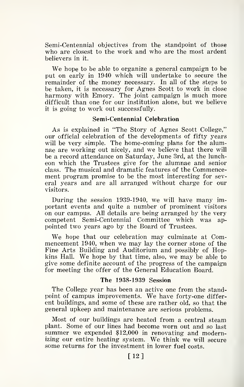Semi-Centennial objectives from the standpoint of those who are closest to the work and who are the most ardent believers in it.

We hope to be able to organize <sup>a</sup> general campaign to be put on early in 1940 which will undertake to secure the remainder of the money necessary. In all of the steps to be taken, it is necessary for Agnes Scott to work in close harmony with Emory. The joint campaign is much more difficult than one for our institution alone, but we believe it is going to work out successfully.

#### Semi-Centennial Celebration

As is explained in "The Story of Agnes Scott College," our official celebration of the developments of fifty years will be very simple. The home-coming plans for the alumnae are working out nicely, and we believe that there will be a record attendance on Saturday, June 3rd, at the lunch eon which the Trustees give for the alumnae and senior class. The musical and dramatic features of the Commencement program promise to be the most interesting for several years and are all arranged without charge for our visitors.

During the session 1939-1940, we will have many important events and quite a number of prominent visitors on our campus. All details are being arranged by the very competent Semi-Centennial Committee which was ap pointed two years ago by the Board of Trustees.

We hope that our celebration may culminate at Commencement 1940, when we may lay the corner stone of the Fine Arts Building and Auditorium and possibly of Hopkins Hall. We hope by that time, also, we may be able to give some definite account of the progress of the campaign for meeting the offer of the General Education Board.

#### The 1938-1939 Session

The College year has been an active one from the standpoint of campus improvements. We have forty-one differ ent buildings, and some of these are rather old, so that the general upkeep and maintenance are serious problems.

Most of our buildings are heated from a central steam plant. Some of our lines had become worn out and so last summer we expended \$12,000 in renovating and modernizing our entire heating system. We think we will secure some returns for the investment in lower fuel costs.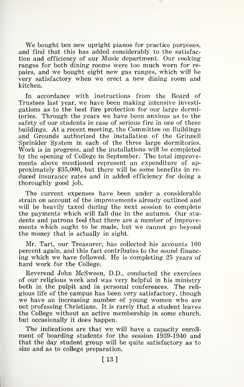We bought ten new upright pianos for practice purposes. and find that this has added considerably to the satisfac tion and efficiency of our Music department. Our cooking ranges for both dining rooms were too much worn for repairs, and we bought eight new gas ranges, which will be very satisfactory when we erect a new dining room and kitchen.

In accordance with instructions from the Board of Trustees last year, we have been making intensive investi gations as to the best fire protection for our large dormitories. Through the years we have been anxious as to the safety of our students in case of serious fire in one of these buildings. At a recent meeting, the Committee on Buildings and Grounds authorized the installation of the Grinnell Sprinkler System in each of the three large dormitories. Work is in progress, and the installations will be completed by the opening of College in September. The total improvements above mentioned represent an expenditure of ap proximately \$35,000, but there will be some benefits in re duced insurance rates and in added efficiency for doing a thoroughly good job.

The current expenses have been under a considerable strain on account of the improvements already outlined and will be heavily taxed during the next session to complete the payments which will fall due in the autumn. Our stu dents and patrons feel that there are a number of improvements which ought to be made, but we cannot go beyond the money that is actually in sight.

Mr. Tart, our Treasurer, has collected his accounts 100 percent again, and this fact contributes to the sound financing which we have followed. He is completing 25 years of hard work for the College.

Reverend John McSween, D.D., conducted the exercises of our religious week and was very helpful in his ministry both in the pulpit and in personal conferences. The reli gious life of the campus has been very satisfactory, though we have an increasing number of young women who are not professing Christians. It is rarely that a student leaves the College without an active membership in some church, but occasionally it does happen.

The indications are that we will have a capacity enroll ment of boarding students for the session 1939-1940 and that the day student group will be quite satisfactory as to size and as to college preparation.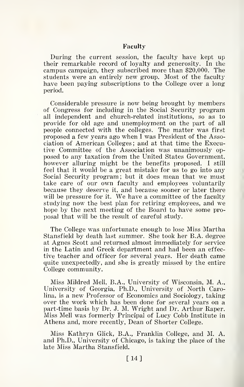#### Faculty

During the current session, the faculty have kept up their remarkable record of loyalty and generosity. In the campus campaign, they subscribed more than \$20,000. The students were an entirely new group. Most of the faculty have been paying subscriptions to the College over a long period.

Considerable pressure is now being brought by members of Congress for including in the Social Security program all independent and church-related institutions, so as to provide for old age and unemployment on the part of all people connected with the colleges. The matter was first proposed a few years ago when <sup>I</sup> was President of the Association of American Colleges ; and at that time the Executive Committee of the Association was unanimously op posed to any taxation from the United States Government, however alluring might be the benefits proposed. <sup>I</sup> still feel that it would be a great mistake for us to go into any Social Security program ; but it does mean that we must take care of our own faculty and employees voluntarily because they deserve it, and because sooner or later there will be pressure for it. We have a committee of the faculty studying now the best plan for retiring employees, and we hope by the next meeting of the Board to have some proposal that will be the result of careful study.

The College was unfortunate enough to lose Miss Martha Stansfield by death last summer. She took her B.A. degree at Agnes Scott and returned almost immediately for service in the Latin and Greek department and had been an effective teacher and officer for several years. Her death came quite unexpectedly, and she is greatly missed by the entire College community.

Miss Mildred Mell, B.A., University of Wisconsin, M. A., University of Georgia, Ph.D., University of North Carolina, is a new Professor of Economics and Sociology, taking over the work which has been done for several years on a part-time basis by Dr. J. M. Wright and Dr. Arthur Raper. Miss Mell was formerly Principal of Lucy Cobb Institute in Athens and, more recently, Dean of Shorter College.

Miss Kathryn Glick, B.A., Franklin College, and M. A. and Ph.D., University of Chicago, is taking the place of the late Miss Martha Stansfield.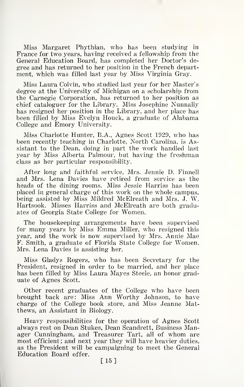Miss Margaret Phythian, who has been studying in France for two years, having received a fellowship from the General Education Board, has completed her Doctor's de gree and has returned to her position in the French department, which was filled last year by Miss Virginia Gray.

Miss Laura Colvin, who studied last year for her Master's degree at the University of Michigan on a scholarship from the Carnegie Corporation, has returned to her position as chief cataloguer for the Library. Miss Josephine Nunnally has resigned her position in the Library, and her place has been filled by Miss Evelyn Houck, a graduate of Alabama College and Emory University.

Miss Charlotte Hunter, B.A., Agnes Scott 1929, who has been recently teaching in Charlotte, North Carolina, is Assistant to the Dean, doing in part the work handled last year by Miss Alberta Palmour, but having the freshman class as her particular responsibility.

After long and faithful service, Mrs. Jennie D. Finnell and Mrs. Lena Davies have retired from service as the heads of the dining rooms. Miss Jessie Harriss has been placed in general charge of this work on the whole campus, being assisted by Miss Mildred McElreath and Mrs. J. W. Hartsook. Misses Harriss and McElreath are both graduates of Georgia State College for Women.

The housekeeping arrangements have been supervised for many years by Miss Emma Miller, who resigned this year, and the work is now supervised by Mrs. Annie Mae F. Smith, a graduate of Florida State College for Women. Mrs. Lena Davies is assisting her.

Miss Gladys Rogers, who has been Secretary for the President, resigned in order to be married, and her place has been filled by Miss Laura Mayes Steele, an honor graduate of Agnes Scott.

Other recent graduates of the College who have been brought back are: Miss Ann Worthy Johnson, to have charge of the College book store, and Miss Jeanne Matthews, an Assistant in Biology.

Heavy responsibilities for the operation of Agnes Scott always rest on Dean Stukes, Dean Scandrett, Business Manager Cunningham, and Treasurer Tart, all of whom are most efficient; and next year they will have heavier duties, as the President will be campaigning to meet the General Education Board offer.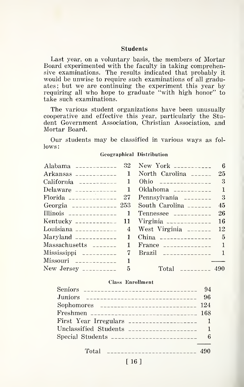#### Students

Last year, on a voluntary basis, the members of Mortar Board experimented with the faculty in taking comprehensive examinations. The results indicated that probably it would be unwise to require such examinations of all graduates; but we are continuing the experiment this year by requiring all who hope to graduate "with high honor" to take such examinations.

The various student organizations have been unusually cooperative and effective this year, particularly the Stu dent Government Association, Christian Association, and Mortar Board.

Our students may be classified in various ways as fol lows:

#### Geographical Distribution

|                             | Alabama ------------ $32$ New York ----------- 6                                                                                                                                                                                                                                                               |  |
|-----------------------------|----------------------------------------------------------------------------------------------------------------------------------------------------------------------------------------------------------------------------------------------------------------------------------------------------------------|--|
| Arkansas $\frac{1}{2}$      | North Carolina $--- 25$                                                                                                                                                                                                                                                                                        |  |
|                             | Ohio $\frac{1}{2}$                                                                                                                                                                                                                                                                                             |  |
| Delaware $\frac{1}{2}$      | Oklahoma $\frac{1}{2}$                                                                                                                                                                                                                                                                                         |  |
|                             | Florida $\frac{1}{2}$ - Florida $\frac{1}{2}$ - Pennsylvania $\frac{1}{2}$ - $\frac{1}{2}$ - $\frac{1}{2}$                                                                                                                                                                                                     |  |
| Georgia _______________ 253 | South Carolina $\frac{1}{2}$                                                                                                                                                                                                                                                                                   |  |
| Illinois $\frac{1}{2}$      | Tennessee $\frac{1}{2}$                                                                                                                                                                                                                                                                                        |  |
|                             | Kentucky ____________ 11 Virginia ____________ 16                                                                                                                                                                                                                                                              |  |
|                             | Louisiana $\frac{1}{2}$ - $\frac{1}{2}$ = $\frac{1}{2}$ = $\frac{1}{2}$ = $\frac{1}{2}$ = $\frac{1}{2}$ = $\frac{1}{2}$ = $\frac{1}{2}$ = $\frac{1}{2}$ = $\frac{1}{2}$ = $\frac{1}{2}$ = $\frac{1}{2}$ = $\frac{1}{2}$ = $\frac{1}{2}$ = $\frac{1}{2}$ = $\frac{1}{2}$ = $\frac{1}{2}$ = $\frac{1}{2$         |  |
|                             | China $\frac{1}{2}$ - $\frac{1}{2}$ - $\frac{1}{2}$ - $\frac{1}{2}$ - $\frac{1}{2}$ - $\frac{1}{2}$ - $\frac{1}{2}$ - $\frac{1}{2}$ - $\frac{1}{2}$ - $\frac{1}{2}$ - $\frac{1}{2}$ - $\frac{1}{2}$ - $\frac{1}{2}$ - $\frac{1}{2}$ - $\frac{1}{2}$ - $\frac{1}{2}$ - $\frac{1}{2}$ - $\frac{1}{2}$ -          |  |
| Massachusetts _______ 1     | France $\frac{1}{2}$                                                                                                                                                                                                                                                                                           |  |
| $Mississippi$ $--- 7$       |                                                                                                                                                                                                                                                                                                                |  |
|                             |                                                                                                                                                                                                                                                                                                                |  |
|                             | Total $\sqrt{2}$ $\sqrt{2}$ $\sqrt{2}$ $\sqrt{2}$ $\sqrt{2}$ $\sqrt{2}$ $\sqrt{2}$ $\sqrt{2}$ $\sqrt{2}$ $\sqrt{2}$ $\sqrt{2}$ $\sqrt{2}$ $\sqrt{2}$ $\sqrt{2}$ $\sqrt{2}$ $\sqrt{2}$ $\sqrt{2}$ $\sqrt{2}$ $\sqrt{2}$ $\sqrt{2}$ $\sqrt{2}$ $\sqrt{2}$ $\sqrt{2}$ $\sqrt{2}$ $\sqrt{2}$ $\sqrt{2}$ $\sqrt{2}$ |  |

#### Class Enrollment

| Sophomores _______________________________ 124 |  |
|------------------------------------------------|--|
| Freshmen ______________________________ 168    |  |
|                                                |  |
|                                                |  |
|                                                |  |
|                                                |  |
| Total $\frac{1}{2}$                            |  |